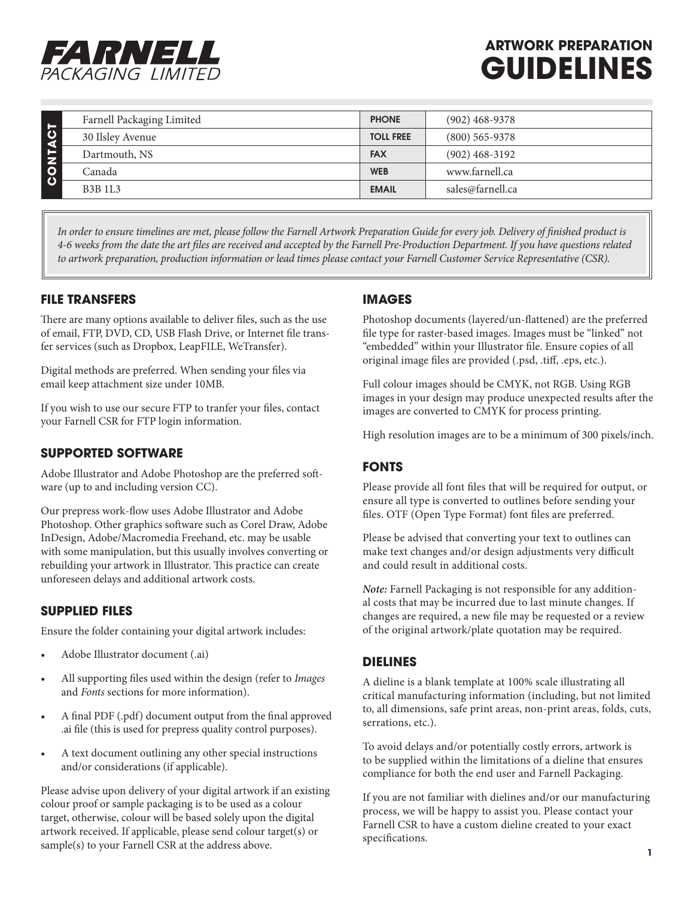

# **ARTWORK PREPARATION GUIDELINES**

|         | Farnell Packaging Limited       | <b>PHONE</b>     | $(902)$ 468-9378 |
|---------|---------------------------------|------------------|------------------|
|         | 30 Ilsley Avenue                | <b>TOLL FREE</b> | $(800)$ 565-9378 |
| CONTACT | Dartmouth, NS                   | <b>FAX</b>       | $(902)$ 468-3192 |
|         | Canada                          | <b>WEB</b>       | www.farnell.ca   |
|         | B <sub>3</sub> B <sub>1L3</sub> | <b>EMAIL</b>     | sales@farnell.ca |

*In order to ensure timelines are met, please follow the Farnell Artwork Preparation Guide for every job. Delivery of finished product is 4-6 weeks from the date the art files are received and accepted by the Farnell Pre-Production Department. If you have questions related to artwork preparation, production information or lead times please contact your Farnell Customer Service Representative (CSR).*

## **FILE TRANSFERS**

There are many options available to deliver files, such as the use of email, FTP, DVD, CD, USB Flash Drive, or Internet file transfer services (such as Dropbox, LeapFILE, WeTransfer).

Digital methods are preferred. When sending your files via email keep attachment size under 10MB.

If you wish to use our secure FTP to tranfer your files, contact your Farnell CSR for FTP login information.

## **SUPPORTED SOFTWARE**

Adobe Illustrator and Adobe Photoshop are the preferred software (up to and including version CC).

Our prepress work-flow uses Adobe Illustrator and Adobe Photoshop. Other graphics software such as Corel Draw, Adobe InDesign, Adobe/Macromedia Freehand, etc. may be usable with some manipulation, but this usually involves converting or rebuilding your artwork in Illustrator. This practice can create unforeseen delays and additional artwork costs.

## **SUPPLIED FILES**

Ensure the folder containing your digital artwork includes:

- Adobe Illustrator document (.ai)
- All supporting files used within the design (refer to *Images* and *Fonts* sections for more information).
- A final PDF (.pdf) document output from the final approved .ai file (this is used for prepress quality control purposes).
- A text document outlining any other special instructions and/or considerations (if applicable).

Please advise upon delivery of your digital artwork if an existing colour proof or sample packaging is to be used as a colour target, otherwise, colour will be based solely upon the digital artwork received. If applicable, please send colour target(s) or sample(s) to your Farnell CSR at the address above.

#### **IMAGES**

Photoshop documents (layered/un-flattened) are the preferred file type for raster-based images. Images must be "linked" not "embedded" within your Illustrator file. Ensure copies of all original image files are provided (.psd, .tiff, .eps, etc.).

Full colour images should be CMYK, not RGB. Using RGB images in your design may produce unexpected results after the images are converted to CMYK for process printing.

High resolution images are to be a minimum of 300 pixels/inch.

## **FONTS**

Please provide all font files that will be required for output, or ensure all type is converted to outlines before sending your files. OTF (Open Type Format) font files are preferred.

Please be advised that converting your text to outlines can make text changes and/or design adjustments very difficult and could result in additional costs.

*Note:* Farnell Packaging is not responsible for any additional costs that may be incurred due to last minute changes. If changes are required, a new file may be requested or a review of the original artwork/plate quotation may be required.

## **DIELINES**

A dieline is a blank template at 100% scale illustrating all critical manufacturing information (including, but not limited to, all dimensions, safe print areas, non-print areas, folds, cuts, serrations, etc.).

To avoid delays and/or potentially costly errors, artwork is to be supplied within the limitations of a dieline that ensures compliance for both the end user and Farnell Packaging.

If you are not familiar with dielines and/or our manufacturing process, we will be happy to assist you. Please contact your Farnell CSR to have a custom dieline created to your exact specifications.